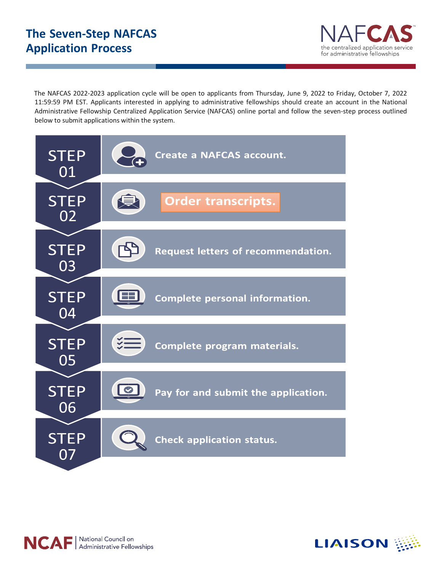

The NAFCAS 2022-2023 application cycle will be open to applicants from Thursday, June 9, 2022 to Friday, October 7, 2022 11:59:59 PM EST. Applicants interested in applying to administrative fellowships should create an account in the National Administrative Fellowship Centralized Application Service (NAFCAS) online portal and follow the seven-step process outlined below to submit applications within the system.





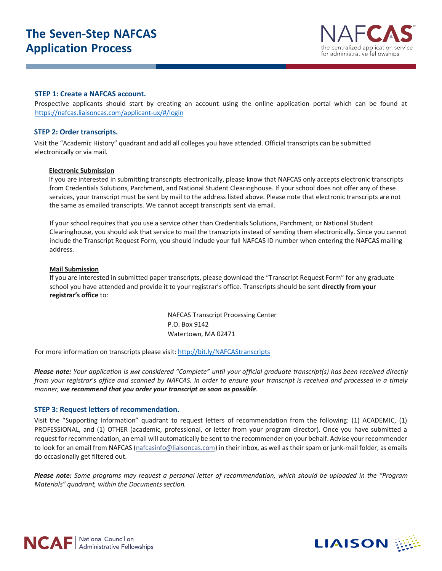# **The Seven-Step NAFCAS Application Process**



### **STEP 1: Create a NAFCAS account.**

Prospective applicants should start by creating an account using the [online application portal](https://nafcas.liaisoncas.com/applicant-ux/#/login) which can be found at <https://nafcas.liaisoncas.com/applicant-ux/#/login>

### **STEP 2: Order transcripts.**

Visit the "Academic History" quadrant and add all colleges you have attended. Official transcripts can be submitted electronically or via mail.

#### **Electronic Submission**

If you are interested in submitting transcripts electronically, please know that NAFCAS only accepts electronic transcripts from Credentials Solutions, Parchment, and National Student Clearinghouse. If your school does not offer any of these services, your transcript must be sent by mail to the address listed above. Please note that electronic transcripts are not the same as emailed transcripts. We cannot accept transcripts sent via email.

If your school requires that you use a service other than Credentials Solutions, Parchment, or National Student Clearinghouse, you should ask that service to mail the transcripts instead of sending them electronically. Since you cannot include the Transcript Request Form, you should include your full NAFCAS ID number when entering the NAFCAS mailing address.

#### **Mail Submission**

If you are interested in submitted paper transcripts, please download the "Transcript Request Form" for any graduate school you have attended and provide it to your registrar's office. Transcripts should be sent **directly from your registrar's office** to:

> NAFCAS Transcript Processing Center P.O. Box 9142 Watertown, MA 02471

For more information on transcripts please visit[: http://bit.ly/NAFCAStranscripts](http://bit.ly/NAFCAStranscripts)

*Please note: Your application is not considered "Complete" until your official graduate transcript(s) has been received directly from your registrar's office and scanned by NAFCAS. In order to ensure your transcript is received and processed in a timely manner, we recommend that you order your transcript as soon as possible.* 

### **STEP 3: Request letters of recommendation.**

Visit the "Supporting Information" quadrant to request letters of recommendation from the following: (1) ACADEMIC, (1) PROFESSIONAL, and (1) OTHER (academic, professional, or letter from your program director). Once you have submitted a request for recommendation, an email will automatically be sent to the recommender on your behalf. Advise your recommender to look for an email from NAFCAS (nafcasinfo@liaisoncas.com) in their inbox, as well as their spam or junk-mail folder, as emails do occasionally get filtered out.

*Please note: Some programs may request a personal letter of recommendation, which should be uploaded in the "Program Materials" quadrant, within the Documents section.*



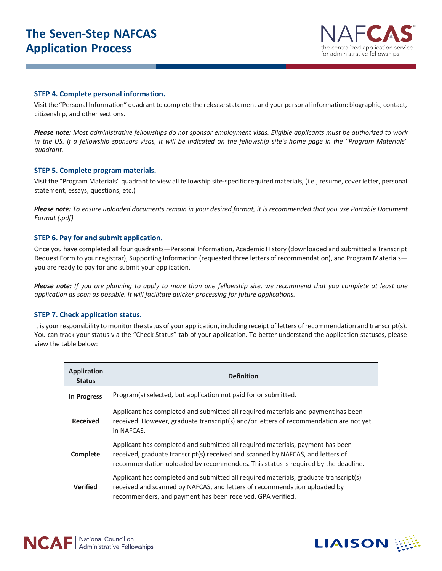# **The Seven-Step NAFCAS Application Process**



## **STEP 4. Complete personal information.**

Visit the "Personal Information" quadrant to complete the release statement and your personal information: biographic, contact, citizenship, and other sections.

*Please note: Most administrative fellowships do not sponsor employment visas. Eligible applicants must be authorized to work in the US. If a fellowship sponsors visas, it will be indicated on the fellowship site's home page in the "Program Materials" quadrant.*

## **STEP 5. Complete program materials.**

Visit the "Program Materials" quadrant to view all fellowship site-specific required materials, (i.e., resume, cover letter, personal statement, essays, questions, etc.)

*Please note: To ensure uploaded documents remain in your desired format, it is recommended that you use Portable Document Format (.pdf).*

## **STEP 6. Pay for and submit application.**

Once you have completed all four quadrants—Personal Information, Academic History (downloaded and submitted a Transcript Request Form to your registrar), Supporting Information (requested three letters of recommendation), and Program Materials you are ready to pay for and submit your application.

*Please note: If you are planning to apply to more than one fellowship site, we recommend that you complete at least one application as soon as possible. It will facilitate quicker processing for future applications.*

## **STEP 7. Check application status.**

It is your responsibility to monitor the status of your application, including receipt of letters of recommendation and transcript(s). You can track your status via the "Check Status" tab of your application. To better understand the application statuses, please view the table below:

| <b>Application</b><br><b>Status</b> | <b>Definition</b>                                                                                                                                                                                                                                      |
|-------------------------------------|--------------------------------------------------------------------------------------------------------------------------------------------------------------------------------------------------------------------------------------------------------|
| In Progress                         | Program(s) selected, but application not paid for or submitted.                                                                                                                                                                                        |
| <b>Received</b>                     | Applicant has completed and submitted all required materials and payment has been<br>received. However, graduate transcript(s) and/or letters of recommendation are not yet<br>in NAFCAS.                                                              |
| Complete                            | Applicant has completed and submitted all required materials, payment has been<br>received, graduate transcript(s) received and scanned by NAFCAS, and letters of<br>recommendation uploaded by recommenders. This status is required by the deadline. |
| <b>Verified</b>                     | Applicant has completed and submitted all required materials, graduate transcript(s)<br>received and scanned by NAFCAS, and letters of recommendation uploaded by<br>recommenders, and payment has been received. GPA verified.                        |